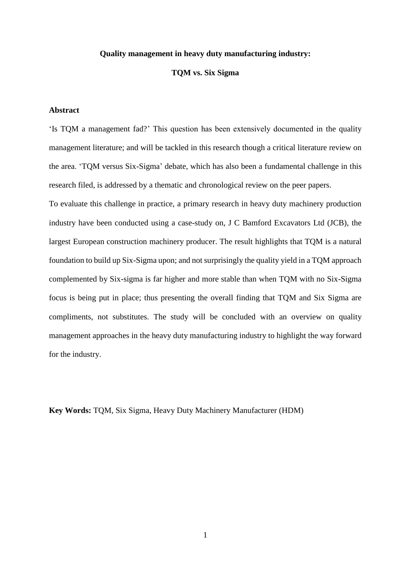## **Quality management in heavy duty manufacturing industry:**

## **TQM vs. Six Sigma**

# **Abstract**

'Is TQM a management fad?' This question has been extensively documented in the quality management literature; and will be tackled in this research though a critical literature review on the area. 'TQM versus Six-Sigma' debate, which has also been a fundamental challenge in this research filed, is addressed by a thematic and chronological review on the peer papers.

To evaluate this challenge in practice, a primary research in heavy duty machinery production industry have been conducted using a case-study on, J C Bamford Excavators Ltd (JCB), the largest European construction machinery producer. The result highlights that TQM is a natural foundation to build up Six-Sigma upon; and not surprisingly the quality yield in a TQM approach complemented by Six-sigma is far higher and more stable than when TQM with no Six-Sigma focus is being put in place; thus presenting the overall finding that TQM and Six Sigma are compliments, not substitutes. The study will be concluded with an overview on quality management approaches in the heavy duty manufacturing industry to highlight the way forward for the industry.

**Key Words:** TQM, Six Sigma, Heavy Duty Machinery Manufacturer (HDM)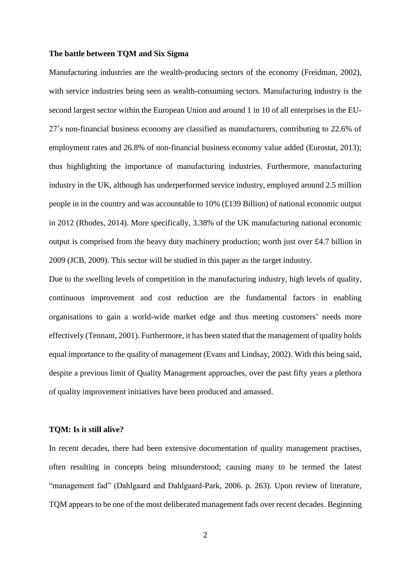### **The battle between TQM and Six Sigma**

Manufacturing industries are the wealth-producing sectors of the economy (Freidman, 2002), with service industries being seen as wealth-consuming sectors. Manufacturing industry is the second largest sector within the European Union and around 1 in 10 of all enterprises in the EU-27's non-financial business economy are classified as manufacturers, contributing to 22.6% of employment rates and 26.8% of non-financial business economy value added (Eurostat, 2013); thus highlighting the importance of manufacturing industries. Furthermore, manufacturing industry in the UK, although has underperformed service industry, employed around 2.5 million people in in the country and was accountable to 10% (£139 Billion) of national economic output in 2012 (Rhodes, 2014). More specifically, 3.38% of the UK manufacturing national economic output is comprised from the heavy duty machinery production; worth just over £4.7 billion in 2009 (JCB, 2009). This sector will be studied in this paper as the target industry.

Due to the swelling levels of competition in the manufacturing industry, high levels of quality, continuous improvement and cost reduction are the fundamental factors in enabling organisations to gain a world-wide market edge and thus meeting customers' needs more effectively (Tennant, 2001). Furthermore, it has been stated that the management of quality holds equal importance to the quality of management (Evans and Lindsay, 2002). With this being said, despite a previous limit of Quality Management approaches, over the past fifty years a plethora of quality improvement initiatives have been produced and amassed.

#### **TQM: Is it still alive?**

In recent decades, there had been extensive documentation of quality management practises, often resulting in concepts being misunderstood; causing many to be termed the latest "management fad" (Dahlgaard and Dahlgaard-Park, 2006. p. 263). Upon review of literature, TQM appears to be one of the most deliberated management fads over recent decades. Beginning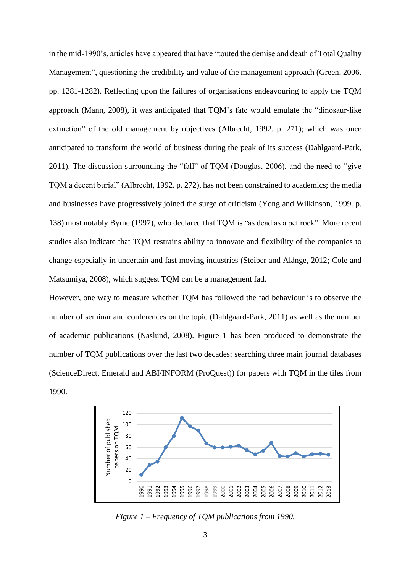in the mid-1990's, articles have appeared that have "touted the demise and death of Total Quality Management", questioning the credibility and value of the management approach (Green, 2006. pp. 1281-1282). Reflecting upon the failures of organisations endeavouring to apply the TQM approach (Mann, 2008), it was anticipated that TQM's fate would emulate the "dinosaur-like extinction" of the old management by objectives (Albrecht, 1992. p. 271); which was once anticipated to transform the world of business during the peak of its success (Dahlgaard-Park, 2011). The discussion surrounding the "fall" of TQM (Douglas, 2006), and the need to "give TQM a decent burial" (Albrecht, 1992. p. 272), has not been constrained to academics; the media and businesses have progressively joined the surge of criticism (Yong and Wilkinson, 1999. p. 138) most notably Byrne (1997), who declared that TQM is "as dead as a pet rock". More recent studies also indicate that TQM restrains ability to innovate and flexibility of the companies to change especially in uncertain and fast moving industries (Steiber and Alänge, 2012; Cole and Matsumiya, 2008), which suggest TQM can be a management fad.

However, one way to measure whether TQM has followed the fad behaviour is to observe the number of seminar and conferences on the topic (Dahlgaard-Park, 2011) as well as the number of academic publications (Naslund, 2008). Figure 1 has been produced to demonstrate the number of TQM publications over the last two decades; searching three main journal databases (ScienceDirect, Emerald and ABI/INFORM (ProQuest)) for papers with TQM in the tiles from 1990.



*Figure 1 – Frequency of TQM publications from 1990.*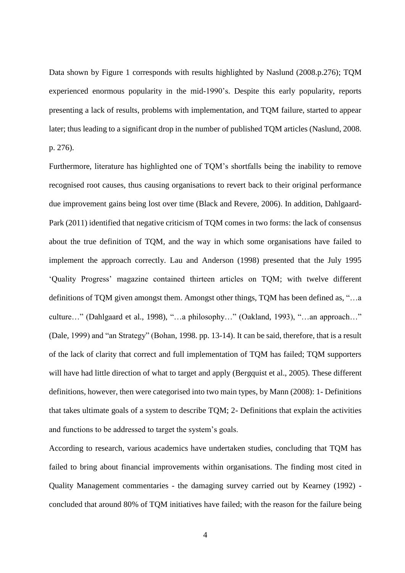Data shown by Figure 1 corresponds with results highlighted by Naslund (2008.p.276); TOM experienced enormous popularity in the mid-1990's. Despite this early popularity, reports presenting a lack of results, problems with implementation, and TQM failure, started to appear later; thus leading to a significant drop in the number of published TQM articles (Naslund, 2008. p. 276).

Furthermore, literature has highlighted one of TQM's shortfalls being the inability to remove recognised root causes, thus causing organisations to revert back to their original performance due improvement gains being lost over time (Black and Revere, 2006). In addition, Dahlgaard-Park (2011) identified that negative criticism of TQM comes in two forms: the lack of consensus about the true definition of TQM, and the way in which some organisations have failed to implement the approach correctly. Lau and Anderson (1998) presented that the July 1995 'Quality Progress' magazine contained thirteen articles on TQM; with twelve different definitions of TQM given amongst them. Amongst other things, TQM has been defined as, "…a culture…" (Dahlgaard et al., 1998), "…a philosophy…" (Oakland, 1993), "…an approach…" (Dale, 1999) and "an Strategy" (Bohan, 1998. pp. 13-14). It can be said, therefore, that is a result of the lack of clarity that correct and full implementation of TQM has failed; TQM supporters will have had little direction of what to target and apply (Bergquist et al., 2005). These different definitions, however, then were categorised into two main types, by Mann (2008): 1- Definitions that takes ultimate goals of a system to describe TQM; 2- Definitions that explain the activities and functions to be addressed to target the system's goals.

According to research, various academics have undertaken studies, concluding that TQM has failed to bring about financial improvements within organisations. The finding most cited in Quality Management commentaries - the damaging survey carried out by Kearney (1992) concluded that around 80% of TQM initiatives have failed; with the reason for the failure being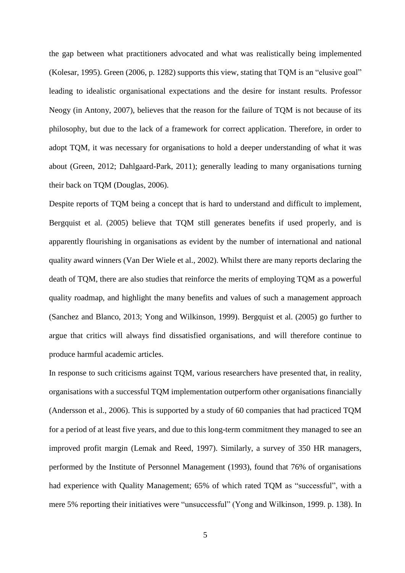the gap between what practitioners advocated and what was realistically being implemented (Kolesar, 1995). Green (2006, p. 1282) supports this view, stating that TQM is an "elusive goal" leading to idealistic organisational expectations and the desire for instant results. Professor Neogy (in Antony, 2007), believes that the reason for the failure of TQM is not because of its philosophy, but due to the lack of a framework for correct application. Therefore, in order to adopt TQM, it was necessary for organisations to hold a deeper understanding of what it was about (Green, 2012; Dahlgaard-Park, 2011); generally leading to many organisations turning their back on TQM (Douglas, 2006).

Despite reports of TQM being a concept that is hard to understand and difficult to implement, Bergquist et al. (2005) believe that TQM still generates benefits if used properly, and is apparently flourishing in organisations as evident by the number of international and national quality award winners (Van Der Wiele et al., 2002). Whilst there are many reports declaring the death of TQM, there are also studies that reinforce the merits of employing TQM as a powerful quality roadmap, and highlight the many benefits and values of such a management approach (Sanchez and Blanco, 2013; Yong and Wilkinson, 1999). Bergquist et al. (2005) go further to argue that critics will always find dissatisfied organisations, and will therefore continue to produce harmful academic articles.

In response to such criticisms against TQM, various researchers have presented that, in reality, organisations with a successful TQM implementation outperform other organisations financially (Andersson et al., 2006). This is supported by a study of 60 companies that had practiced TQM for a period of at least five years, and due to this long-term commitment they managed to see an improved profit margin (Lemak and Reed, 1997). Similarly, a survey of 350 HR managers, performed by the Institute of Personnel Management (1993), found that 76% of organisations had experience with Quality Management; 65% of which rated TQM as "successful", with a mere 5% reporting their initiatives were "unsuccessful" (Yong and Wilkinson, 1999. p. 138). In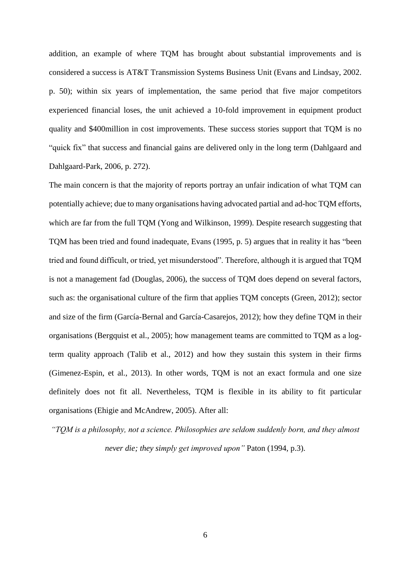addition, an example of where TQM has brought about substantial improvements and is considered a success is AT&T Transmission Systems Business Unit (Evans and Lindsay, 2002. p. 50); within six years of implementation, the same period that five major competitors experienced financial loses, the unit achieved a 10-fold improvement in equipment product quality and \$400million in cost improvements. These success stories support that TQM is no "quick fix" that success and financial gains are delivered only in the long term (Dahlgaard and Dahlgaard-Park, 2006, p. 272).

The main concern is that the majority of reports portray an unfair indication of what TQM can potentially achieve; due to many organisations having advocated partial and ad-hoc TQM efforts, which are far from the full TOM (Yong and Wilkinson, 1999). Despite research suggesting that TQM has been tried and found inadequate, Evans (1995, p. 5) argues that in reality it has "been tried and found difficult, or tried, yet misunderstood". Therefore, although it is argued that TQM is not a management fad (Douglas, 2006), the success of TQM does depend on several factors, such as: the organisational culture of the firm that applies TQM concepts (Green, 2012); sector and size of the firm (García-Bernal and García-Casarejos, 2012); how they define TQM in their organisations (Bergquist et al., 2005); how management teams are committed to TQM as a logterm quality approach (Talib et al., 2012) and how they sustain this system in their firms (Gimenez-Espin, et al., 2013). In other words, TQM is not an exact formula and one size definitely does not fit all. Nevertheless, TQM is flexible in its ability to fit particular organisations (Ehigie and McAndrew, 2005). After all:

*"TQM is a philosophy, not a science. Philosophies are seldom suddenly born, and they almost never die; they simply get improved upon"* Paton (1994, p.3).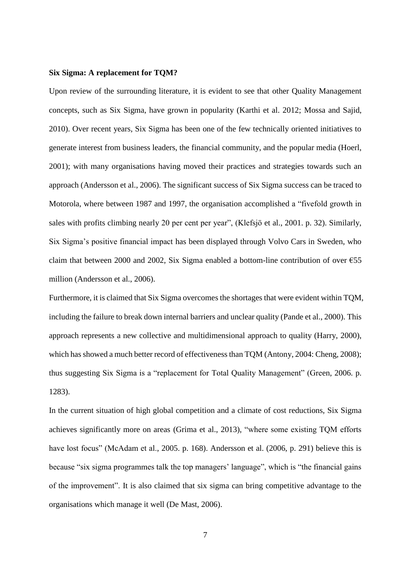#### **Six Sigma: A replacement for TQM?**

Upon review of the surrounding literature, it is evident to see that other Quality Management concepts, such as Six Sigma, have grown in popularity (Karthi et al. 2012; Mossa and Sajid, 2010). Over recent years, Six Sigma has been one of the few technically oriented initiatives to generate interest from business leaders, the financial community, and the popular media (Hoerl, 2001); with many organisations having moved their practices and strategies towards such an approach (Andersson et al., 2006). The significant success of Six Sigma success can be traced to Motorola, where between 1987 and 1997, the organisation accomplished a "fivefold growth in sales with profits climbing nearly 20 per cent per year", (Klefsjö et al., 2001. p. 32). Similarly, Six Sigma's positive financial impact has been displayed through Volvo Cars in Sweden, who claim that between 2000 and 2002, Six Sigma enabled a bottom-line contribution of over  $\epsilon$ 55 million (Andersson et al., 2006).

Furthermore, it is claimed that Six Sigma overcomes the shortages that were evident within TQM, including the failure to break down internal barriers and unclear quality (Pande et al., 2000). This approach represents a new collective and multidimensional approach to quality (Harry, 2000), which has showed a much better record of effectiveness than TQM (Antony, 2004: Cheng, 2008); thus suggesting Six Sigma is a "replacement for Total Quality Management" (Green, 2006. p. 1283).

In the current situation of high global competition and a climate of cost reductions, Six Sigma achieves significantly more on areas (Grima et al., 2013), "where some existing TQM efforts have lost focus" (McAdam et al., 2005. p. 168). Andersson et al. (2006, p. 291) believe this is because "six sigma programmes talk the top managers' language", which is "the financial gains of the improvement". It is also claimed that six sigma can bring competitive advantage to the organisations which manage it well (De Mast, 2006).

7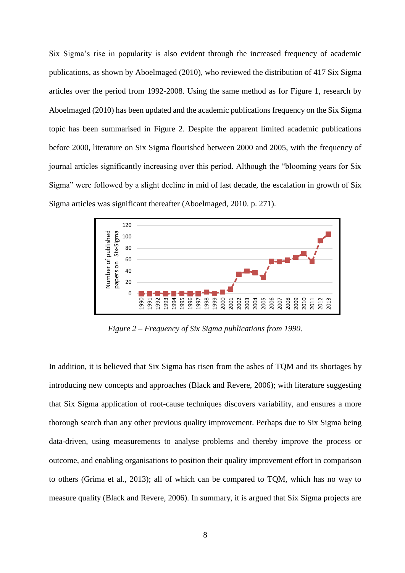Six Sigma's rise in popularity is also evident through the increased frequency of academic publications, as shown by Aboelmaged (2010), who reviewed the distribution of 417 Six Sigma articles over the period from 1992-2008. Using the same method as for Figure 1, research by Aboelmaged (2010) has been updated and the academic publications frequency on the Six Sigma topic has been summarised in Figure 2. Despite the apparent limited academic publications before 2000, literature on Six Sigma flourished between 2000 and 2005, with the frequency of journal articles significantly increasing over this period. Although the "blooming years for Six Sigma" were followed by a slight decline in mid of last decade, the escalation in growth of Six Sigma articles was significant thereafter (Aboelmaged, 2010. p. 271).



*Figure 2 – Frequency of Six Sigma publications from 1990.* 

In addition, it is believed that Six Sigma has risen from the ashes of TQM and its shortages by introducing new concepts and approaches (Black and Revere, 2006); with literature suggesting that Six Sigma application of root-cause techniques discovers variability, and ensures a more thorough search than any other previous quality improvement. Perhaps due to Six Sigma being data-driven, using measurements to analyse problems and thereby improve the process or outcome, and enabling organisations to position their quality improvement effort in comparison to others (Grima et al., 2013); all of which can be compared to TQM, which has no way to measure quality (Black and Revere, 2006). In summary, it is argued that Six Sigma projects are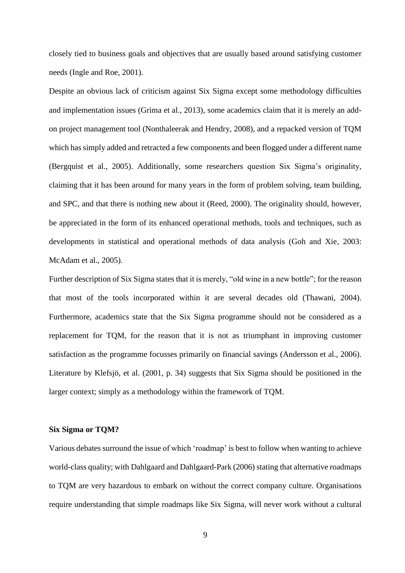closely tied to business goals and objectives that are usually based around satisfying customer needs (Ingle and Roe, 2001).

Despite an obvious lack of criticism against Six Sigma except some methodology difficulties and implementation issues (Grima et al., 2013), some academics claim that it is merely an addon project management tool (Nonthaleerak and Hendry, 2008), and a repacked version of TQM which has simply added and retracted a few components and been flogged under a different name (Bergquist et al., 2005). Additionally, some researchers question Six Sigma's originality, claiming that it has been around for many years in the form of problem solving, team building, and SPC, and that there is nothing new about it (Reed, 2000). The originality should, however, be appreciated in the form of its enhanced operational methods, tools and techniques, such as developments in statistical and operational methods of data analysis (Goh and Xie, 2003: McAdam et al., 2005).

Further description of Six Sigma states that it is merely, "old wine in a new bottle"; for the reason that most of the tools incorporated within it are several decades old (Thawani, 2004). Furthermore, academics state that the Six Sigma programme should not be considered as a replacement for TQM, for the reason that it is not as triumphant in improving customer satisfaction as the programme focusses primarily on financial savings (Andersson et al., 2006). Literature by Klefsjö, et al. (2001, p. 34) suggests that Six Sigma should be positioned in the larger context; simply as a methodology within the framework of TQM.

#### **Six Sigma or TQM?**

Various debates surround the issue of which 'roadmap' is best to follow when wanting to achieve world-class quality; with Dahlgaard and Dahlgaard-Park (2006) stating that alternative roadmaps to TQM are very hazardous to embark on without the correct company culture. Organisations require understanding that simple roadmaps like Six Sigma, will never work without a cultural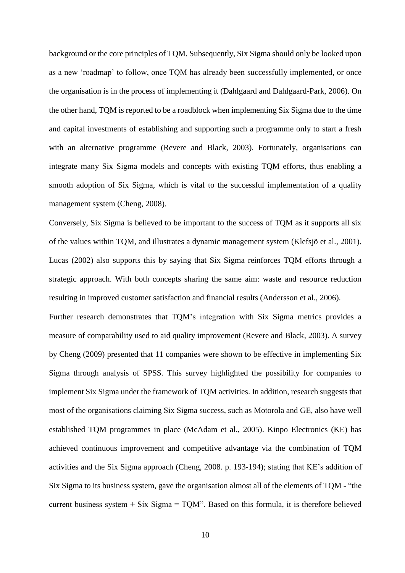background or the core principles of TQM. Subsequently, Six Sigma should only be looked upon as a new 'roadmap' to follow, once TQM has already been successfully implemented, or once the organisation is in the process of implementing it (Dahlgaard and Dahlgaard-Park, 2006). On the other hand, TQM is reported to be a roadblock when implementing Six Sigma due to the time and capital investments of establishing and supporting such a programme only to start a fresh with an alternative programme (Revere and Black, 2003). Fortunately, organisations can integrate many Six Sigma models and concepts with existing TQM efforts, thus enabling a smooth adoption of Six Sigma, which is vital to the successful implementation of a quality management system (Cheng, 2008).

Conversely, Six Sigma is believed to be important to the success of TQM as it supports all six of the values within TQM, and illustrates a dynamic management system (Klefsjö et al., 2001). Lucas (2002) also supports this by saying that Six Sigma reinforces TQM efforts through a strategic approach. With both concepts sharing the same aim: waste and resource reduction resulting in improved customer satisfaction and financial results (Andersson et al., 2006).

Further research demonstrates that TQM's integration with Six Sigma metrics provides a measure of comparability used to aid quality improvement (Revere and Black, 2003). A survey by Cheng (2009) presented that 11 companies were shown to be effective in implementing Six Sigma through analysis of SPSS. This survey highlighted the possibility for companies to implement Six Sigma under the framework of TQM activities. In addition, research suggests that most of the organisations claiming Six Sigma success, such as Motorola and GE, also have well established TQM programmes in place (McAdam et al., 2005). Kinpo Electronics (KE) has achieved continuous improvement and competitive advantage via the combination of TQM activities and the Six Sigma approach (Cheng, 2008. p. 193-194); stating that KE's addition of Six Sigma to its business system, gave the organisation almost all of the elements of TQM - "the current business system  $+$  Six Sigma  $=$  TQM". Based on this formula, it is therefore believed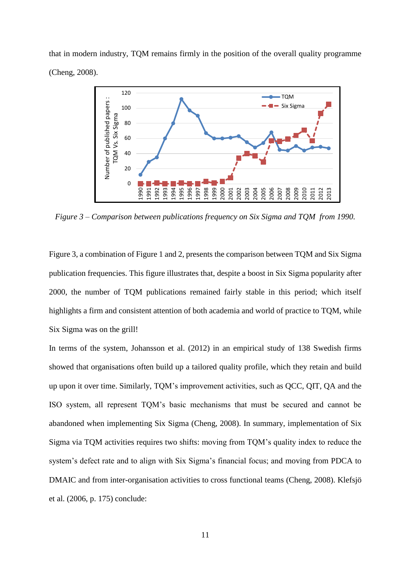that in modern industry, TQM remains firmly in the position of the overall quality programme (Cheng, 2008).



*Figure 3 – Comparison between publications frequency on Six Sigma and TQM from 1990.* 

Figure 3, a combination of Figure 1 and 2, presents the comparison between TQM and Six Sigma publication frequencies. This figure illustrates that, despite a boost in Six Sigma popularity after 2000, the number of TQM publications remained fairly stable in this period; which itself highlights a firm and consistent attention of both academia and world of practice to TQM, while Six Sigma was on the grill!

In terms of the system, Johansson et al. (2012) in an empirical study of 138 Swedish firms showed that organisations often build up a tailored quality profile, which they retain and build up upon it over time. Similarly, TQM's improvement activities, such as QCC, QIT, QA and the ISO system, all represent TQM's basic mechanisms that must be secured and cannot be abandoned when implementing Six Sigma (Cheng, 2008). In summary, implementation of Six Sigma via TQM activities requires two shifts: moving from TQM's quality index to reduce the system's defect rate and to align with Six Sigma's financial focus; and moving from PDCA to DMAIC and from inter-organisation activities to cross functional teams (Cheng, 2008). Klefsjö et al. (2006, p. 175) conclude: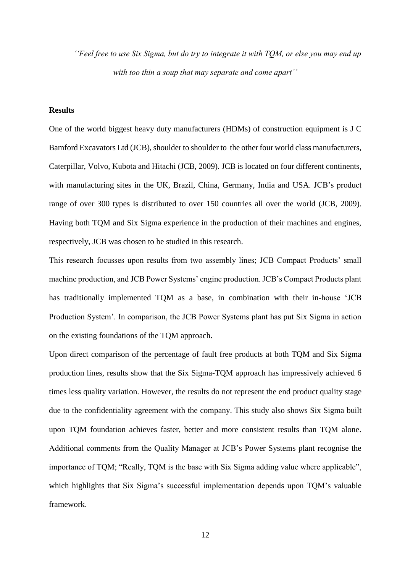*''Feel free to use Six Sigma, but do try to integrate it with TQM, or else you may end up with too thin a soup that may separate and come apart''*

# **Results**

One of the world biggest heavy duty manufacturers (HDMs) of construction equipment is J C Bamford Excavators Ltd (JCB), shoulder to shoulder to the other four world class manufacturers, Caterpillar, Volvo, Kubota and Hitachi (JCB, 2009). JCB is located on four different continents, with manufacturing sites in the UK, Brazil, China, Germany, India and USA. JCB's product range of over 300 types is distributed to over 150 countries all over the world (JCB, 2009). Having both TQM and Six Sigma experience in the production of their machines and engines, respectively, JCB was chosen to be studied in this research.

This research focusses upon results from two assembly lines; JCB Compact Products' small machine production, and JCB Power Systems' engine production. JCB's Compact Products plant has traditionally implemented TQM as a base, in combination with their in-house 'JCB Production System'. In comparison, the JCB Power Systems plant has put Six Sigma in action on the existing foundations of the TQM approach.

Upon direct comparison of the percentage of fault free products at both TQM and Six Sigma production lines, results show that the Six Sigma-TQM approach has impressively achieved 6 times less quality variation. However, the results do not represent the end product quality stage due to the confidentiality agreement with the company. This study also shows Six Sigma built upon TQM foundation achieves faster, better and more consistent results than TQM alone. Additional comments from the Quality Manager at JCB's Power Systems plant recognise the importance of TQM; "Really, TQM is the base with Six Sigma adding value where applicable", which highlights that Six Sigma's successful implementation depends upon TQM's valuable framework.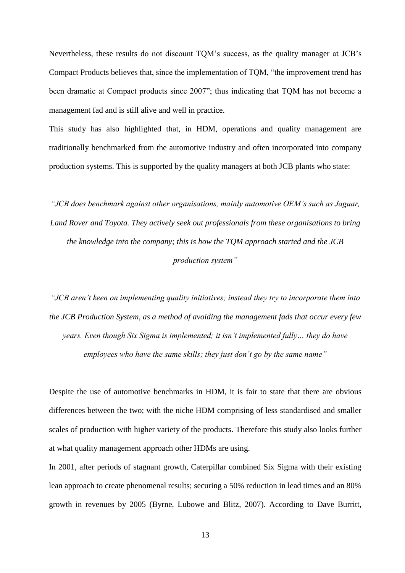Nevertheless, these results do not discount TQM's success, as the quality manager at JCB's Compact Products believes that, since the implementation of TQM, "the improvement trend has been dramatic at Compact products since 2007"; thus indicating that TQM has not become a management fad and is still alive and well in practice.

This study has also highlighted that, in HDM, operations and quality management are traditionally benchmarked from the automotive industry and often incorporated into company production systems. This is supported by the quality managers at both JCB plants who state:

*"JCB does benchmark against other organisations, mainly automotive OEM's such as Jaguar, Land Rover and Toyota. They actively seek out professionals from these organisations to bring the knowledge into the company; this is how the TQM approach started and the JCB production system"*

*"JCB aren't keen on implementing quality initiatives; instead they try to incorporate them into the JCB Production System, as a method of avoiding the management fads that occur every few years. Even though Six Sigma is implemented; it isn't implemented fully… they do have employees who have the same skills; they just don't go by the same name"*

Despite the use of automotive benchmarks in HDM, it is fair to state that there are obvious differences between the two; with the niche HDM comprising of less standardised and smaller scales of production with higher variety of the products. Therefore this study also looks further at what quality management approach other HDMs are using.

In 2001, after periods of stagnant growth, Caterpillar combined Six Sigma with their existing lean approach to create phenomenal results; securing a 50% reduction in lead times and an 80% growth in revenues by 2005 (Byrne, Lubowe and Blitz, 2007). According to Dave Burritt,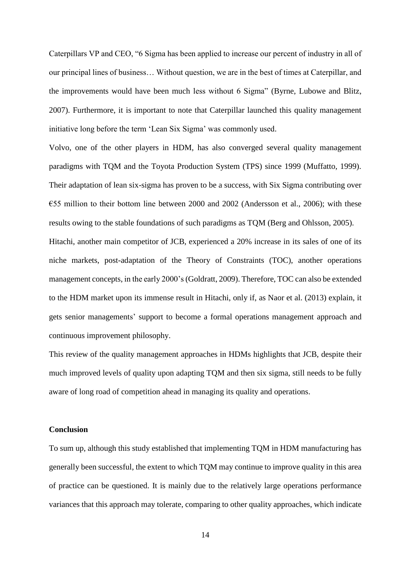Caterpillars VP and CEO, "6 Sigma has been applied to increase our percent of industry in all of our principal lines of business… Without question, we are in the best of times at Caterpillar, and the improvements would have been much less without 6 Sigma" (Byrne, Lubowe and Blitz, 2007). Furthermore, it is important to note that Caterpillar launched this quality management initiative long before the term 'Lean Six Sigma' was commonly used.

Volvo, one of the other players in HDM, has also converged several quality management paradigms with TQM and the Toyota Production System (TPS) since 1999 (Muffatto, 1999). Their adaptation of lean six-sigma has proven to be a success, with Six Sigma contributing over €55 million to their bottom line between 2000 and 2002 (Andersson et al., 2006); with these results owing to the stable foundations of such paradigms as TQM (Berg and Ohlsson, 2005). Hitachi, another main competitor of JCB, experienced a 20% increase in its sales of one of its niche markets, post-adaptation of the Theory of Constraints (TOC), another operations management concepts, in the early 2000's(Goldratt, 2009). Therefore, TOC can also be extended to the HDM market upon its immense result in Hitachi, only if, as Naor et al. (2013) explain, it

gets senior managements' support to become a formal operations management approach and continuous improvement philosophy.

This review of the quality management approaches in HDMs highlights that JCB, despite their much improved levels of quality upon adapting TQM and then six sigma, still needs to be fully aware of long road of competition ahead in managing its quality and operations.

## **Conclusion**

To sum up, although this study established that implementing TQM in HDM manufacturing has generally been successful, the extent to which TQM may continue to improve quality in this area of practice can be questioned. It is mainly due to the relatively large operations performance variances that this approach may tolerate, comparing to other quality approaches, which indicate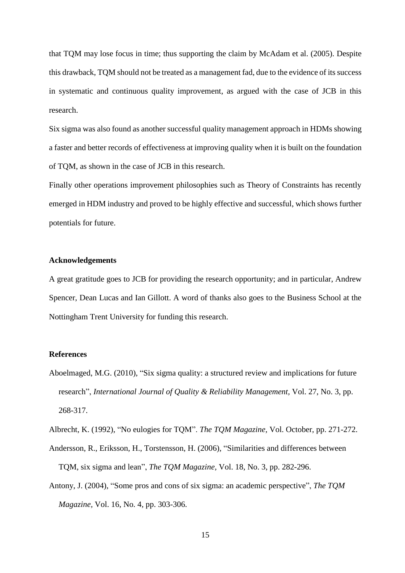that TQM may lose focus in time; thus supporting the claim by McAdam et al. (2005). Despite this drawback, TQM should not be treated as a management fad, due to the evidence of its success in systematic and continuous quality improvement, as argued with the case of JCB in this research.

Six sigma was also found as another successful quality management approach in HDMs showing a faster and better records of effectiveness at improving quality when it is built on the foundation of TQM, as shown in the case of JCB in this research.

Finally other operations improvement philosophies such as Theory of Constraints has recently emerged in HDM industry and proved to be highly effective and successful, which shows further potentials for future.

## **Acknowledgements**

A great gratitude goes to JCB for providing the research opportunity; and in particular, Andrew Spencer, Dean Lucas and Ian Gillott. A word of thanks also goes to the Business School at the Nottingham Trent University for funding this research.

# **References**

- Aboelmaged, M.G. (2010), "Six sigma quality: a structured review and implications for future research", *International Journal of Quality & Reliability Management,* Vol. 27, No. 3, pp. 268-317.
- Albrecht, K. (1992), "No eulogies for TQM". *The TQM Magazine,* Vol. October, pp. 271-272.
- Andersson, R., Eriksson, H., Torstensson, H. (2006), "Similarities and differences between TQM, six sigma and lean", *The TQM Magazine,* Vol. 18, No. 3, pp. 282-296.
- Antony, J. (2004), "Some pros and cons of six sigma: an academic perspective", *The TQM Magazine,* Vol. 16, No. 4, pp. 303-306.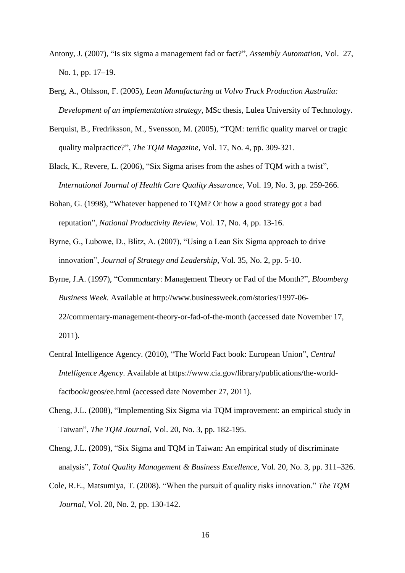- Antony, J. (2007), "Is six sigma a management fad or fact?", *Assembly Automation,* Vol. 27, No. 1, pp. 17–19.
- Berg, A., Ohlsson, F. (2005), *Lean Manufacturing at Volvo Truck Production Australia: Development of an implementation strategy*, MSc thesis, Lulea University of Technology.
- Berquist, B., Fredriksson, M., Svensson, M. (2005), "TQM: terrific quality marvel or tragic quality malpractice?", *The TQM Magazine,* Vol. 17, No. 4, pp. 309-321.
- Black, K., Revere, L. (2006), "Six Sigma arises from the ashes of TQM with a twist", *International Journal of Health Care Quality Assurance,* Vol. 19, No. 3, pp. 259-266.
- Bohan, G. (1998), "Whatever happened to TQM? Or how a good strategy got a bad reputation", *National Productivity Review,* Vol. 17, No. 4, pp. 13-16.
- Byrne, G., Lubowe, D., Blitz, A. (2007), "Using a Lean Six Sigma approach to drive innovation", *Journal of Strategy and Leadership*, Vol. 35, No. 2, pp. 5-10.
- Byrne, J.A. (1997), "Commentary: Management Theory or Fad of the Month?", *Bloomberg Business Week.* Available at http://www.businessweek.com/stories/1997-06- 22/commentary-management-theory-or-fad-of-the-month (accessed date November 17, 2011).
- Central Intelligence Agency. (2010), "The World Fact book: European Union", *Central Intelligence Agency*. Available at https://www.cia.gov/library/publications/the-worldfactbook/geos/ee.html (accessed date November 27, 2011).
- Cheng, J.L. (2008), "Implementing Six Sigma via TQM improvement: an empirical study in Taiwan", *The TQM Journal,* Vol. 20, No. 3, pp. 182-195.
- Cheng, J.L. (2009), "Six Sigma and TQM in Taiwan: An empirical study of discriminate analysis", *Total Quality Management & Business Excellence,* Vol. 20, No. 3, pp. 311–326.
- Cole, R.E., Matsumiya, T. (2008). "When the pursuit of quality risks innovation." *The TQM Journal*, Vol. 20, No. 2, pp. 130-142.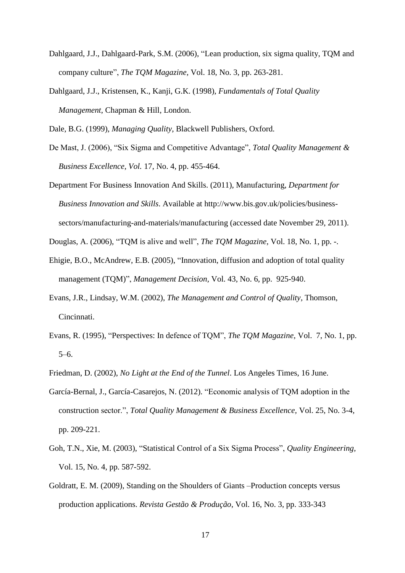- Dahlgaard, J.J., Dahlgaard-Park, S.M. (2006), "Lean production, six sigma quality, TQM and company culture", *The TQM Magazine,* Vol. 18, No. 3, pp. 263-281.
- Dahlgaard, J.J., Kristensen, K., Kanji, G.K. (1998), *Fundamentals of Total Quality Management*, Chapman & Hill, London.

Dale, B.G. (1999), *Managing Quality*, Blackwell Publishers, Oxford.

- De Mast, J. (2006), "Six Sigma and Competitive Advantage", *Total Quality Management & Business Excellence, Vol.* 17, No. 4, pp. 455-464.
- Department For Business Innovation And Skills. (2011), Manufacturing, *Department for Business Innovation and Skills*. Available at http://www.bis.gov.uk/policies/businesssectors/manufacturing-and-materials/manufacturing (accessed date November 29, 2011).

Douglas, A. (2006), "TQM is alive and well", *The TQM Magazine,* Vol. 18, No. 1, pp. -.

- Ehigie, B.O., McAndrew, E.B. (2005), "Innovation, diffusion and adoption of total quality management (TQM)", *Management Decision,* Vol. 43, No. 6, pp. 925-940.
- Evans, J.R., Lindsay, W.M. (2002), *The Management and Control of Quality,* Thomson, Cincinnati.
- Evans, R. (1995), "Perspectives: In defence of TQM", *The TQM Magazine,* Vol. 7, No. 1, pp. 5–6.
- Friedman, D. (2002), *No Light at the End of the Tunnel*. Los Angeles Times, 16 June.
- García-Bernal, J., García-Casarejos, N. (2012). "Economic analysis of TQM adoption in the construction sector.", *Total Quality Management & Business Excellence,* Vol. 25, No. 3-4, pp. 209-221.
- Goh, T.N., Xie, M. (2003), "Statistical Control of a Six Sigma Process", *Quality Engineering,*  Vol. 15, No. 4, pp. 587-592.
- Goldratt, E. M. (2009), Standing on the Shoulders of Giants –Production concepts versus production applications. *Revista Gestão & Produção*, Vol. 16, No. 3, pp. 333-343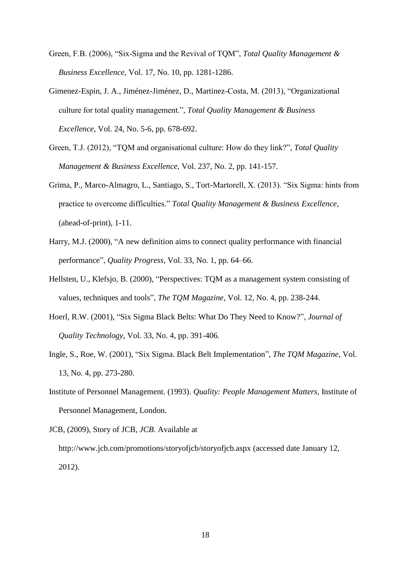- Green, F.B. (2006), "Six-Sigma and the Revival of TQM", *Total Quality Management & Business Excellence,* Vol. 17, No. 10, pp. 1281-1286.
- Gimenez-Espin, J. A., Jiménez-Jiménez, D., Martinez-Costa, M. (2013), "Organizational culture for total quality management.", *Total Quality Management & Business Excellence*, Vol. 24, No. 5-6, pp. 678-692.
- Green, T.J. (2012), "TQM and organisational culture: How do they link?", *Total Quality Management & Business Excellence,* Vol. 237, No. 2, pp. 141-157.
- Grima, P., Marco-Almagro, L., Santiago, S., Tort-Martorell, X. (2013). "Six Sigma: hints from practice to overcome difficulties." *Total Quality Management & Business Excellence*, (ahead-of-print), 1-11.
- Harry, M.J. (2000), "A new definition aims to connect quality performance with financial performance", *Quality Progress,* Vol. 33, No. 1, pp. 64–66.
- Hellsten, U., Klefsjo, B. (2000), "Perspectives: TQM as a management system consisting of values, techniques and tools", *The TQM Magazine,* Vol. 12, No. 4, pp. 238-244.
- Hoerl, R.W. (2001), "Six Sigma Black Belts: What Do They Need to Know?", *Journal of Quality Technology,* Vol. 33, No. 4, pp. 391-406.
- Ingle, S., Roe, W. (2001), "Six Sigma. Black Belt Implementation", *The TQM Magazine*, Vol. 13, No. 4, pp. 273-280.
- Institute of Personnel Management. (1993). *Quality: People Management Matters*, Institute of Personnel Management, London.
- JCB, (2009), Story of JCB, *JCB*. Available at http://www.jcb.com/promotions/storyofjcb/storyofjcb.aspx (accessed date January 12, 2012).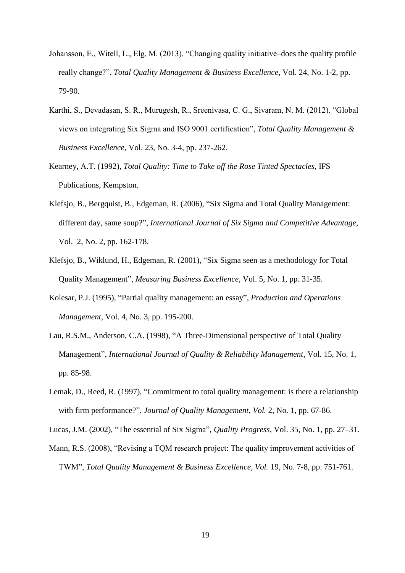- Johansson, E., Witell, L., Elg, M. (2013). "Changing quality initiative–does the quality profile really change?", *Total Quality Management & Business Excellence*, Vol. 24, No. 1-2, pp. 79-90.
- Karthi, S., Devadasan, S. R., Murugesh, R., Sreenivasa, C. G., Sivaram, N. M. (2012). "Global views on integrating Six Sigma and ISO 9001 certification", *Total Quality Management & Business Excellence*, Vol. 23, No. 3-4, pp. 237-262.
- Kearney, A.T. (1992), *Total Quality: Time to Take off the Rose Tinted Spectacles*, IFS Publications, Kempston.
- Klefsjo, B., Bergquist, B., Edgeman, R. (2006), "Six Sigma and Total Quality Management: different day, same soup?", *International Journal of Six Sigma and Competitive Advantage,*  Vol. 2, No. 2, pp. 162-178.
- Klefsjo, B., Wiklund, H., Edgeman, R. (2001), "Six Sigma seen as a methodology for Total Quality Management", *Measuring Business Excellence,* Vol. 5, No. 1, pp. 31-35.
- Kolesar, P.J. (1995), "Partial quality management: an essay", *Production and Operations Management,* Vol. 4, No. 3, pp. 195-200.
- Lau, R.S.M., Anderson, C.A. (1998), "A Three-Dimensional perspective of Total Quality Management", *International Journal of Quality & Reliability Management,* Vol. 15, No. 1, pp. 85-98.
- Lemak, D., Reed, R. (1997), "Commitment to total quality management: is there a relationship with firm performance?", *Journal of Quality Management, Vol.* 2, No. 1, pp. 67-86.

Lucas, J.M. (2002), "The essential of Six Sigma", *Quality Progress,* Vol. 35, No. 1, pp. 27–31.

Mann, R.S. (2008), "Revising a TQM research project: The quality improvement activities of TWM", *Total Quality Management & Business Excellence, Vol.* 19, No. 7-8, pp. 751-761.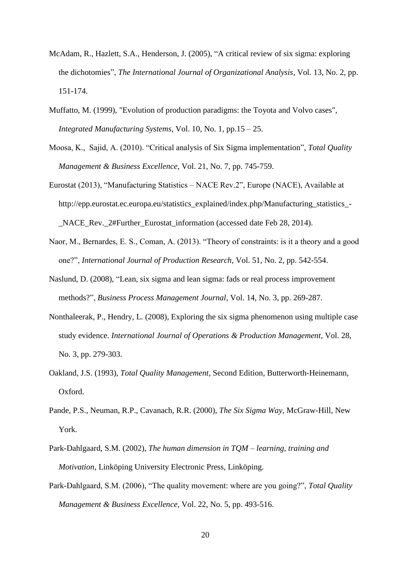- McAdam, R., Hazlett, S.A., Henderson, J. (2005), "A critical review of six sigma: exploring the dichotomies", *The International Journal of Organizational Analysis,* Vol. 13, No. 2, pp. 151-174.
- Muffatto, M. (1999), "Evolution of production paradigms: the Toyota and Volvo cases", *Integrated Manufacturing Systems*, Vol. 10, No. 1, pp.15 – 25.
- Moosa, K., Sajid, A. (2010). "Critical analysis of Six Sigma implementation", *Total Quality Management & Business Excellence*, Vol. 21, No. 7, pp. 745-759.
- Eurostat (2013), "Manufacturing Statistics NACE Rev.2", Europe (NACE), Available at http://epp.eurostat.ec.europa.eu/statistics\_explained/index.php/Manufacturing\_statistics\_- NACE Rev. 2#Further Eurostat information (accessed date Feb 28, 2014).
- Naor, M., Bernardes, E. S., Coman, A. (2013). "Theory of constraints: is it a theory and a good one?", *International Journal of Production Research*, Vol. 51, No. 2, pp. 542-554.
- Naslund, D. (2008), "Lean, six sigma and lean sigma: fads or real process improvement methods?", *Business Process Management Journal*, Vol. 14, No. 3, pp. 269-287.
- Nonthaleerak, P., Hendry, L. (2008), Exploring the six sigma phenomenon using multiple case study evidence. *International Journal of Operations & Production Management,* Vol. 28, No. 3, pp. 279-303.
- Oakland, J.S. (1993), *Total Quality Management*, Second Edition, Butterworth-Heinemann, Oxford.
- Pande, P.S., Neuman, R.P., Cavanach, R.R. (2000), *The Six Sigma Way*, McGraw-Hill, New York.
- Park-Dahlgaard, S.M. (2002), *The human dimension in TQM – learning, training and Motivation*, Linköping University Electronic Press, Linköping.
- Park-Dahlgaard, S.M. (2006), "The quality movement: where are you going?", *Total Quality Management & Business Excellence*, Vol. 22, No. 5, pp. 493-516.